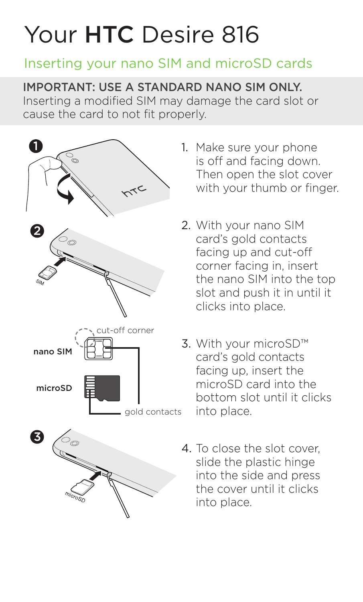## Your HTC Desire 816

## Inserting your nano SIM and microSD cards

IMPORTANT: USE A STANDARD NANO SIM ONLY.

Inserting a modified SIM may damage the card slot or cause the card to not fit properly.



- 1. Make sure your phone is off and facing down. Then open the slot cover with your thumb or finger.
- 2. With your nano SIM card's gold contacts facing up and cut-off corner facing in, insert the nano SIM into the top slot and push it in until it clicks into place.
- 3. With your microSD™ card's gold contacts facing up, insert the microSD card into the bottom slot until it clicks into place.
- 4. To close the slot cover, slide the plastic hinge into the side and press the cover until it clicks into place.